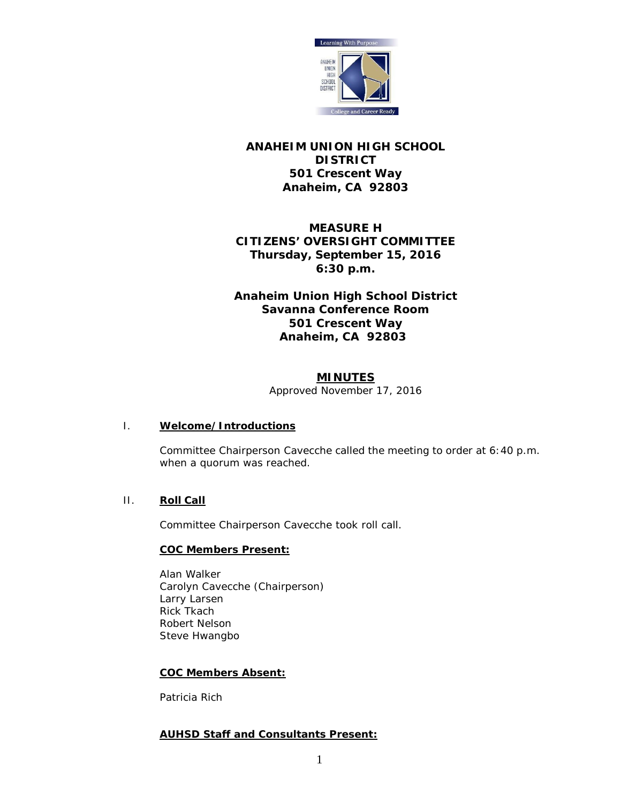

## **ANAHEIM UNION HIGH SCHOOL DISTRICT 501 Crescent Way Anaheim, CA 92803**

# **MEASURE H CITIZENS' OVERSIGHT COMMITTEE Thursday, September 15, 2016 6:30 p.m.**

## **Anaheim Union High School District Savanna Conference Room 501 Crescent Way Anaheim, CA 92803**

### **MINUTES**

*Approved November 17, 2016*

#### I. **Welcome/Introductions**

Committee Chairperson Cavecche called the meeting to order at 6:40 p.m. when a quorum was reached.

#### II. **Roll Call**

Committee Chairperson Cavecche took roll call.

#### **COC Members Present:**

Alan Walker Carolyn Cavecche (Chairperson) Larry Larsen Rick Tkach Robert Nelson Steve Hwangbo

#### **COC Members Absent:**

Patricia Rich

#### **AUHSD Staff and Consultants Present:**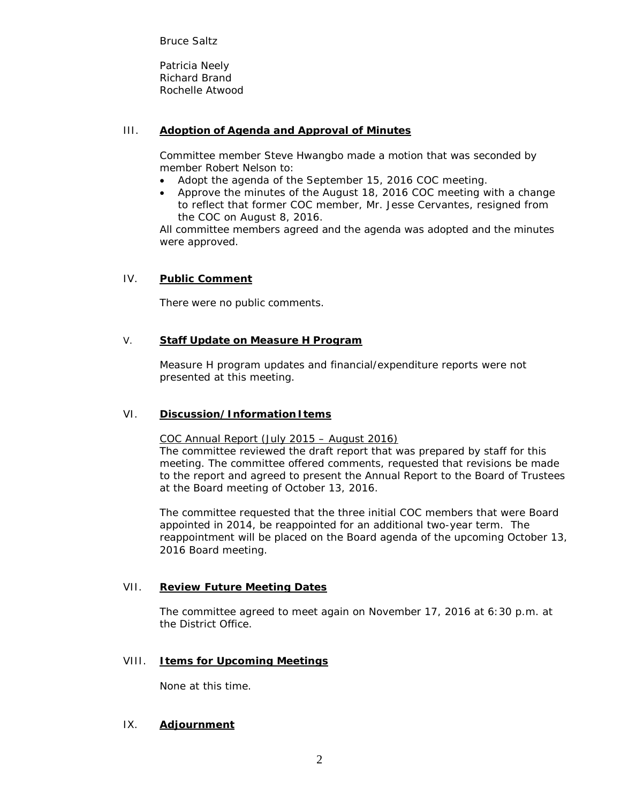Bruce Saltz

Patricia Neely Richard Brand Rochelle Atwood

## III. **Adoption of Agenda and Approval of Minutes**

Committee member Steve Hwangbo made a motion that was seconded by member Robert Nelson to:

- Adopt the agenda of the September 15, 2016 COC meeting.
- Approve the minutes of the August 18, 2016 COC meeting with a change to reflect that former COC member, Mr. Jesse Cervantes, resigned from the COC on August 8, 2016.

All committee members agreed and the agenda was adopted and the minutes were approved.

### IV. **Public Comment**

There were no public comments.

#### V. **Staff Update on Measure H Program**

Measure H program updates and financial/expenditure reports were not presented at this meeting.

#### VI. **Discussion/Information Items**

COC Annual Report (July 2015 – August 2016)

The committee reviewed the draft report that was prepared by staff for this meeting. The committee offered comments, requested that revisions be made to the report and agreed to present the Annual Report to the Board of Trustees at the Board meeting of October 13, 2016.

The committee requested that the three initial COC members that were Board appointed in 2014, be reappointed for an additional two-year term. The reappointment will be placed on the Board agenda of the upcoming October 13, 2016 Board meeting.

#### VII. **Review Future Meeting Dates**

The committee agreed to meet again on November 17, 2016 at 6:30 p.m. at the District Office.

#### VIII. **Items for Upcoming Meetings**

None at this time.

## IX. **Adjournment**